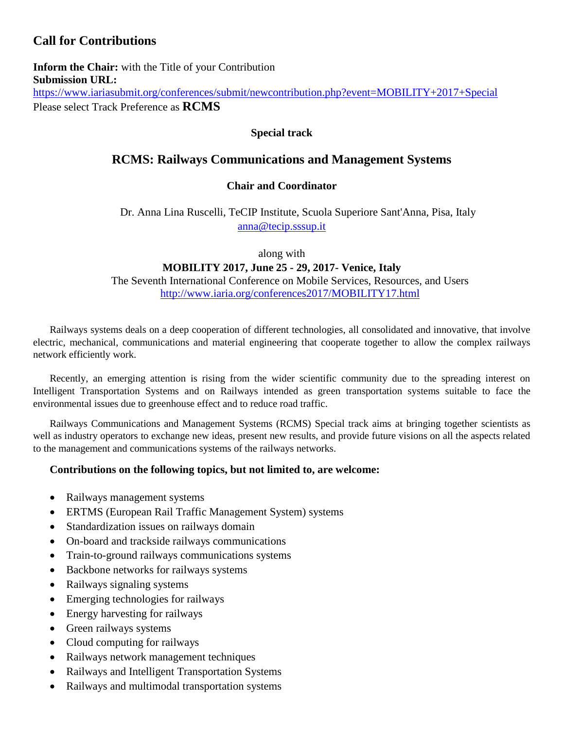# **Call for Contributions**

**Inform the Chair:** with the Title of your Contribution **Submission URL:** <https://www.iariasubmit.org/conferences/submit/newcontribution.php?event=MOBILITY+2017+Special> Please select Track Preference as **RCMS**

### **Special track**

## **RCMS: Railways Communications and Management Systems**

### **Chair and Coordinator**

Dr. Anna Lina Ruscelli, TeCIP Institute, Scuola Superiore Sant'Anna, Pisa, Italy [anna@tecip.sssup.it](mailto:anna@tecip.sssup.it)

along with

### **MOBILITY 2017, June 25 - 29, 2017- Venice, Italy**

The Seventh International Conference on Mobile Services, Resources, and Users <http://www.iaria.org/conferences2017/MOBILITY17.html>

Railways systems deals on a deep cooperation of different technologies, all consolidated and innovative, that involve electric, mechanical, communications and material engineering that cooperate together to allow the complex railways network efficiently work.

Recently, an emerging attention is rising from the wider scientific community due to the spreading interest on Intelligent Transportation Systems and on Railways intended as green transportation systems suitable to face the environmental issues due to greenhouse effect and to reduce road traffic.

Railways Communications and Management Systems (RCMS) Special track aims at bringing together scientists as well as industry operators to exchange new ideas, present new results, and provide future visions on all the aspects related to the management and communications systems of the railways networks.

### **Contributions on the following topics, but not limited to, are welcome:**

- Railways management systems
- ERTMS (European Rail Traffic Management System) systems
- Standardization issues on railways domain
- On-board and trackside railways communications
- Train-to-ground railways communications systems
- Backbone networks for railways systems
- Railways signaling systems
- Emerging technologies for railways
- Energy harvesting for railways
- Green railways systems
- Cloud computing for railways
- Railways network management techniques
- Railways and Intelligent Transportation Systems
- Railways and multimodal transportation systems